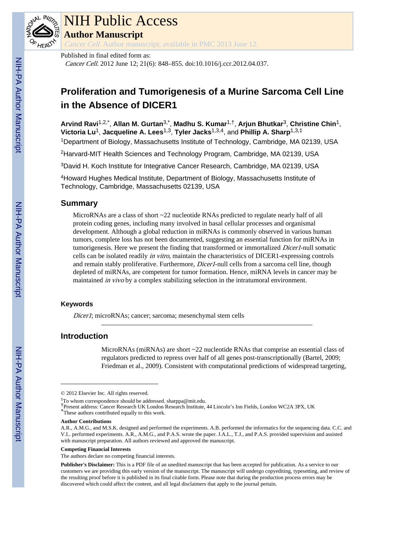

# NIH Public Access

**Author Manuscript**

Cancer Cell. Author manuscript; available in PMC 2013 June 12.

Published in final edited form as:

Cancer Cell. 2012 June 12; 21(6): 848–855. doi:10.1016/j.ccr.2012.04.037.

# **Proliferation and Tumorigenesis of a Murine Sarcoma Cell Line in the Absence of DICER1**

**Arvind Ravi**1,2,\* , **Allan M. Gurtan**3,\* , **Madhu S. Kumar**1,†, **Arjun Bhutkar**3, **Christine Chin**1, **Victoria Lu**1, **Jacqueline A. Lees**1,3, **Tyler Jacks**1,3,4, and **Phillip A. Sharp**1,3,‡ <sup>1</sup>Department of Biology, Massachusetts Institute of Technology, Cambridge, MA 02139, USA

<sup>2</sup>Harvard-MIT Health Sciences and Technology Program, Cambridge, MA 02139, USA

<sup>3</sup>David H. Koch Institute for Integrative Cancer Research, Cambridge, MA 02139, USA

<sup>4</sup>Howard Hughes Medical Institute, Department of Biology, Massachusetts Institute of Technology, Cambridge, Massachusetts 02139, USA

# **Summary**

MicroRNAs are a class of short ~22 nucleotide RNAs predicted to regulate nearly half of all protein coding genes, including many involved in basal cellular processes and organismal development. Although a global reduction in miRNAs is commonly observed in various human tumors, complete loss has not been documented, suggesting an essential function for miRNAs in tumorigenesis. Here we present the finding that transformed or immortalized *Dicer1*-null somatic cells can be isolated readily in vitro, maintain the characteristics of DICER1-expressing controls and remain stably proliferative. Furthermore, *Dicer1*-null cells from a sarcoma cell line, though depleted of miRNAs, are competent for tumor formation. Hence, miRNA levels in cancer may be maintained *in vivo* by a complex stabilizing selection in the intratumoral environment.

# **Keywords**

Dicer1; microRNAs; cancer; sarcoma; mesenchymal stem cells

# **Introduction**

MicroRNAs (miRNAs) are short ~22 nucleotide RNAs that comprise an essential class of regulators predicted to repress over half of all genes post-transcriptionally (Bartel, 2009; Friedman et al., 2009). Consistent with computational predictions of widespread targeting,

#### **Competing Financial Interests**

<sup>© 2012</sup> Elsevier Inc. All rights reserved.

<sup>‡</sup>To whom correspondence should be addressed. sharppa@mit.edu.

<sup>†</sup>Present address: Cancer Research UK London Research Institute, 44 Lincoln's Inn Fields, London WC2A 3PX, UK \*These authors contributed equally to this work.

**Author Contributions**

A.R., A.M.G., and M.S.K. designed and performed the experiments. A.B. performed the informatics for the sequencing data. C.C. and V.L. performed experiments. A.R., A.M.G., and P.A.S. wrote the paper. J.A.L., T.J., and P.A.S. provided supervision and assisted with manuscript preparation. All authors reviewed and approved the manuscript.

The authors declare no competing financial interests.

**Publisher's Disclaimer:** This is a PDF file of an unedited manuscript that has been accepted for publication. As a service to our customers we are providing this early version of the manuscript. The manuscript will undergo copyediting, typesetting, and review of the resulting proof before it is published in its final citable form. Please note that during the production process errors may be discovered which could affect the content, and all legal disclaimers that apply to the journal pertain.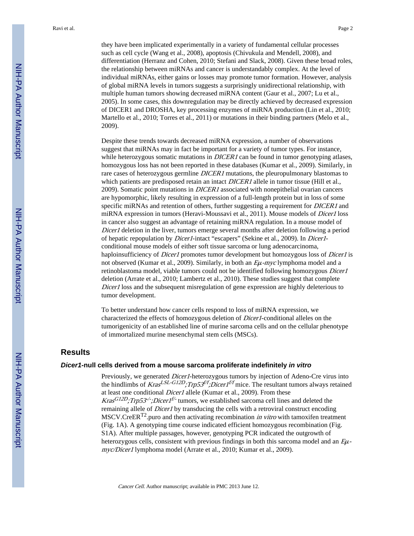they have been implicated experimentally in a variety of fundamental cellular processes such as cell cycle (Wang et al., 2008), apoptosis (Chivukula and Mendell, 2008), and differentiation (Herranz and Cohen, 2010; Stefani and Slack, 2008). Given these broad roles, the relationship between miRNAs and cancer is understandably complex. At the level of individual miRNAs, either gains or losses may promote tumor formation. However, analysis of global miRNA levels in tumors suggests a surprisingly unidirectional relationship, with multiple human tumors showing decreased miRNA content (Gaur et al., 2007; Lu et al., 2005). In some cases, this downregulation may be directly achieved by decreased expression of DICER1 and DROSHA, key processing enzymes of miRNA production (Lin et al., 2010; Martello et al., 2010; Torres et al., 2011) or mutations in their binding partners (Melo et al., 2009).

Despite these trends towards decreased miRNA expression, a number of observations suggest that miRNAs may in fact be important for a variety of tumor types. For instance, while heterozygous somatic mutations in  $DICER1$  can be found in tumor genotyping atlases, homozygous loss has not been reported in these databases (Kumar et al., 2009). Similarly, in rare cases of heterozygous germline DICER1 mutations, the pleuropulmonary blastomas to which patients are predisposed retain an intact DICER1 allele in tumor tissue (Hill et al., 2009). Somatic point mutations in  $DICER1$  associated with nonepithelial ovarian cancers are hypomorphic, likely resulting in expression of a full-length protein but in loss of some specific miRNAs and retention of others, further suggesting a requirement for *DICER1* and miRNA expression in tumors (Heravi-Moussavi et al., 2011). Mouse models of Dicer1 loss in cancer also suggest an advantage of retaining miRNA regulation. In a mouse model of Dicer1 deletion in the liver, tumors emerge several months after deletion following a period of hepatic repopulation by Dicer1-intact "escapers" (Sekine et al., 2009). In Dicer1 conditional mouse models of either soft tissue sarcoma or lung adenocarcinoma, haploinsufficiency of *Dicer1* promotes tumor development but homozygous loss of *Dicer1* is not observed (Kumar et al., 2009). Similarly, in both an <sup>E</sup>μ-myc lymphoma model and a retinoblastoma model, viable tumors could not be identified following homozygous *Dicer1* deletion (Arrate et al., 2010; Lambertz et al., 2010). These studies suggest that complete Dicer1 loss and the subsequent misregulation of gene expression are highly deleterious to tumor development.

To better understand how cancer cells respond to loss of miRNA expression, we characterized the effects of homozygous deletion of Dicer1-conditional alleles on the tumorigenicity of an established line of murine sarcoma cells and on the cellular phenotype of immortalized murine mesenchymal stem cells (MSCs).

# **Results**

## *Dicer1***-null cells derived from a mouse sarcoma proliferate indefinitely** *in vitro*

Previously, we generated Dicer1-heterozygous tumors by injection of Adeno-Cre virus into the hindlimbs of *Kras<sup>LSL-G12D</sup>;Trp53<sup>f/f</sup>;Dicer1<sup>f/f</sup>* mice. The resultant tumors always retained at least one conditional Dicer1 allele (Kumar et al., 2009). From these Kras<sup>G12D</sup>;Trp53<sup>-/-</sup>;Dicer1<sup>f/-</sup> tumors, we established sarcoma cell lines and deleted the remaining allele of *Dicer1* by transducing the cells with a retroviral construct encoding  $MSCV.CreER<sup>T2</sup>$  puro and then activating recombination *in vitro* with tamoxifen treatment (Fig. 1A). A genotyping time course indicated efficient homozygous recombination (Fig. S1A). After multiple passages, however, genotyping PCR indicated the outgrowth of heterozygous cells, consistent with previous findings in both this sarcoma model and an  $E\mu$ myc/Dicer1 lymphoma model (Arrate et al., 2010; Kumar et al., 2009).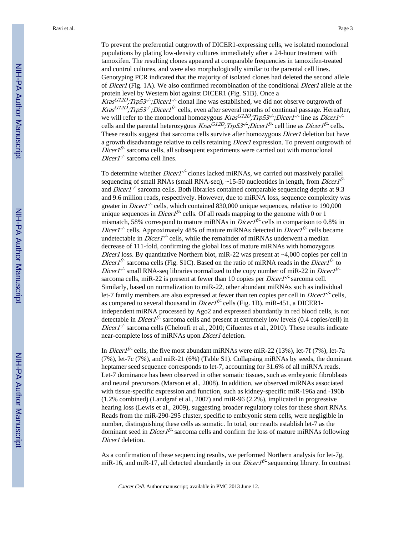To prevent the preferential outgrowth of DICER1-expressing cells, we isolated monoclonal populations by plating low-density cultures immediately after a 24-hour treatment with tamoxifen. The resulting clones appeared at comparable frequencies in tamoxifen-treated and control cultures, and were also morphologically similar to the parental cell lines. Genotyping PCR indicated that the majority of isolated clones had deleted the second allele of Dicer1 (Fig. 1A). We also confirmed recombination of the conditional Dicer1 allele at the protein level by Western blot against DICER1 (Fig. S1B). Once a

Kras<sup>G12D</sup>;Trp53<sup>-/-</sup>;Dicer1<sup>-/-</sup> clonal line was established, we did not observe outgrowth of Kras<sup>G12D</sup>;Trp53<sup>-/-</sup>;Dicer1<sup>f/-</sup> cells, even after several months of continual passage. Hereafter, we will refer to the monoclonal homozygous  $Kras^{GI2D}$ ; Trp53<sup>-/-</sup>; Dicer1<sup>-/-</sup> line as Dicer1<sup>-/-</sup> cells and the parental heterozygous  $Kras^{G12D}$ ; Trp53<sup>-/</sup>; Dicer1<sup>f/-</sup> cell line as Dicer1<sup>f/-</sup> cells. These results suggest that sarcoma cells survive after homozygous Dicer1 deletion but have a growth disadvantage relative to cells retaining Dicer1 expression. To prevent outgrowth of  $Direct$ <sup>f/-</sup> sarcoma cells, all subsequent experiments were carried out with monoclonal Dicer1<sup>-/-</sup> sarcoma cell lines.

To determine whether  $Dicer1^{-/-}$  clones lacked miRNAs, we carried out massively parallel sequencing of small RNAs (small RNA-seq),  $\sim$ 15-50 nucleotides in length, from *Dicer1<sup>f/-</sup>* and *Dicer1<sup>-/-</sup>* sarcoma cells. Both libraries contained comparable sequencing depths at 9.3 and 9.6 million reads, respectively. However, due to miRNA loss, sequence complexity was greater in *Dicer1<sup>-/-</sup>* cells, which contained 830,000 unique sequences, relative to 190,000 unique sequences in *Dicer1<sup>f/-</sup>* cells. Of all reads mapping to the genome with 0 or 1 mismatch, 58% correspond to mature miRNAs in *Dicer*  $I^{f/-}$  cells in comparison to 0.8% in *Dicer1<sup>-/-</sup>* cells. Approximately 48% of mature miRNAs detected in *Dicer1<sup>f/-</sup>* cells became undetectable in *Dicer1<sup>-/-</sup>* cells, while the remainder of miRNAs underwent a median decrease of 111-fold, confirming the global loss of mature miRNAs with homozygous Dicer1 loss. By quantitative Northern blot, miR-22 was present at  $\sim$ 4,000 copies per cell in *Dicer1<sup>f/-</sup>* sarcoma cells (Fig. S1C). Based on the ratio of miRNA reads in the *Dicer1<sup>f/-</sup>* to *Dicer1<sup>-/-</sup>* small RNA-seq libraries normalized to the copy number of miR-22 in *Dicer1<sup>f/-*</sup> sarcoma cells, miR-22 is present at fewer than 10 copies per *Dicer1<sup>-/-</sup>* sarcoma cell. Similarly, based on normalization to miR-22, other abundant miRNAs such as individual let-7 family members are also expressed at fewer than ten copies per cell in *Dicer1<sup>-/-</sup>* cells, as compared to several thousand in *Dicer1<sup>f/-</sup>* cells (Fig. 1B). miR-451, a DICER1independent miRNA processed by Ago2 and expressed abundantly in red blood cells, is not detectable in *Dicer*  $1^{f/-}$  sarcoma cells and present at extremely low levels (0.4 copies/cell) in *Dicer1*<sup>-/-</sup> sarcoma cells (Cheloufi et al., 2010; Cifuentes et al., 2010). These results indicate near-complete loss of miRNAs upon *Dicer1* deletion.

In *Dicer1<sup>f/-</sup>* cells, the five most abundant miRNAs were miR-22 (13%), let-7f (7%), let-7a (7%), let-7c (7%), and miR-21 (6%) (Table S1). Collapsing miRNAs by seeds, the dominant heptamer seed sequence corresponds to let-7, accounting for 31.6% of all miRNA reads. Let-7 dominance has been observed in other somatic tissues, such as embryonic fibroblasts and neural precursors (Marson et al., 2008). In addition, we observed miRNAs associated with tissue-specific expression and function, such as kidney-specific miR-196a and -196b (1.2% combined) (Landgraf et al., 2007) and miR-96 (2.2%), implicated in progressive hearing loss (Lewis et al., 2009), suggesting broader regulatory roles for these short RNAs. Reads from the miR-290-295 cluster, specific to embryonic stem cells, were negligible in number, distinguishing these cells as somatic. In total, our results establish let-7 as the dominant seed in *Dicer1<sup>f/-</sup>* sarcoma cells and confirm the loss of mature miRNAs following Dicer1 deletion.

As a confirmation of these sequencing results, we performed Northern analysis for let-7g, miR-16, and miR-17, all detected abundantly in our *Dicer1<sup>f/-</sup>* sequencing library. In contrast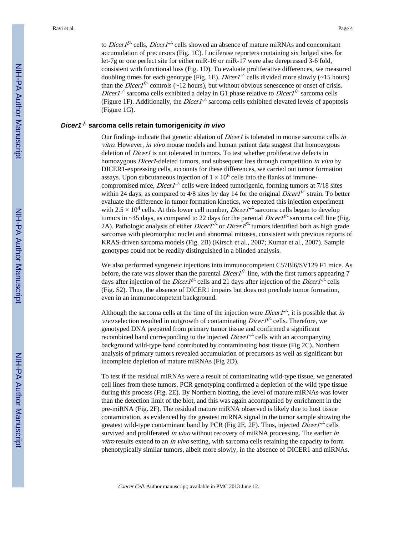to *Dicer1<sup>f/-</sup>* cells, *Dicer1<sup>-/-</sup>* cells showed an absence of mature miRNAs and concomitant accumulation of precursors (Fig. 1C). Luciferase reporters containing six bulged sites for let-7g or one perfect site for either miR-16 or miR-17 were also derepressed 3-6 fold, consistent with functional loss (Fig. 1D). To evaluate proliferative differences, we measured doubling times for each genotype (Fig. 1E). *Dicer1*<sup>-/-</sup> cells divided more slowly (~15 hours) than the *Dicer*  $I^{f/-}$  controls (~12 hours), but without obvious senescence or onset of crisis. *Dicer1*<sup>-/-</sup> sarcoma cells exhibited a delay in G1 phase relative to *Dicer1<sup>f/-</sup>* sarcoma cells (Figure 1F). Additionally, the *Dicer1<sup>-/-</sup>* sarcoma cells exhibited elevated levels of apoptosis (Figure 1G).

# *Dicer1-/-* **sarcoma cells retain tumorigenicity** *in vivo*

Our findings indicate that genetic ablation of *Dicer1* is tolerated in mouse sarcoma cells in vitro. However, in vivo mouse models and human patient data suggest that homozygous deletion of *Dicer1* is not tolerated in tumors. To test whether proliferative defects in homozygous *Dicer1*-deleted tumors, and subsequent loss through competition in vivo by DICER1-expressing cells, accounts for these differences, we carried out tumor formation assays. Upon subcutaneous injection of  $1 \times 10^6$  cells into the flanks of immunecompromised mice, *Dicer1<sup>-/-</sup>* cells were indeed tumorigenic, forming tumors at 7/18 sites within 24 days, as compared to 4/8 sites by day 14 for the original *Dicer1<sup>f/-</sup>* strain. To better evaluate the difference in tumor formation kinetics, we repeated this injection experiment with  $2.5 \times 10^4$  cells. At this lower cell number, *Dicer1<sup>-/-</sup>* sarcoma cells began to develop tumors in ~45 days, as compared to 22 days for the parental *Dicer1<sup>f/-</sup>* sarcoma cell line (Fig. 2A). Pathologic analysis of either *Dicer1<sup>-/-</sup>* or *Dicer1<sup>f/-</sup>* tumors identified both as high grade sarcomas with pleomorphic nuclei and abnormal mitoses, consistent with previous reports of KRAS-driven sarcoma models (Fig. 2B) (Kirsch et al., 2007; Kumar et al., 2007). Sample genotypes could not be readily distinguished in a blinded analysis.

We also performed syngeneic injections into immunocompetent C57Bl6/SV129 F1 mice. As before, the rate was slower than the parental *Dicert<sup>t-*-</sup> line, with the first tumors appearing 7 days after injection of the *Dicer1<sup>t/-</sup>* cells and 21 days after injection of the *Dicer1<sup>-/-</sup>* cells (Fig. S2). Thus, the absence of DICER1 impairs but does not preclude tumor formation, even in an immunocompetent background.

Although the sarcoma cells at the time of the injection were *Dicert*<sup>-/-</sup>, it is possible that *in vivo* selection resulted in outgrowth of contaminating *Dicer1<sup>f/-</sup>* cells. Therefore, we genotyped DNA prepared from primary tumor tissue and confirmed a significant recombined band corresponding to the injected  $Dicer1^{-/-}$  cells with an accompanying background wild-type band contributed by contaminating host tissue (Fig 2C). Northern analysis of primary tumors revealed accumulation of precursors as well as significant but incomplete depletion of mature miRNAs (Fig 2D).

To test if the residual miRNAs were a result of contaminating wild-type tissue, we generated cell lines from these tumors. PCR genotyping confirmed a depletion of the wild type tissue during this process (Fig. 2E). By Northern blotting, the level of mature miRNAs was lower than the detection limit of the blot, and this was again accompanied by enrichment in the pre-miRNA (Fig. 2F). The residual mature miRNA observed is likely due to host tissue contamination, as evidenced by the greatest miRNA signal in the tumor sample showing the greatest wild-type contaminant band by PCR (Fig 2E, 2F). Thus, injected  $Dicer1^{-/-}$  cells survived and proliferated *in vivo* without recovery of miRNA processing. The earlier *in* vitro results extend to an in vivo setting, with sarcoma cells retaining the capacity to form phenotypically similar tumors, albeit more slowly, in the absence of DICER1 and miRNAs.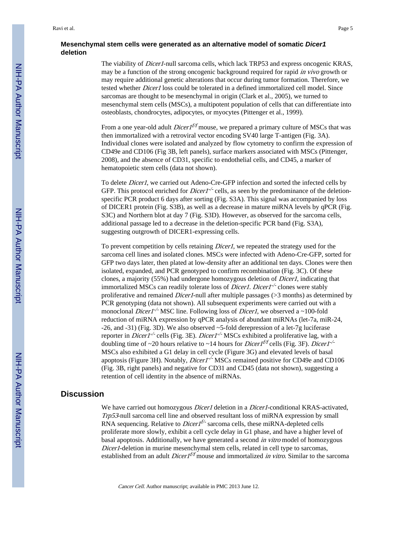# **Mesenchymal stem cells were generated as an alternative model of somatic** *Dicer1* **deletion**

The viability of *Dicer1*-null sarcoma cells, which lack TRP53 and express oncogenic KRAS, may be a function of the strong oncogenic background required for rapid *in vivo* growth or may require additional genetic alterations that occur during tumor formation. Therefore, we tested whether Dicer1 loss could be tolerated in a defined immortalized cell model. Since sarcomas are thought to be mesenchymal in origin (Clark et al., 2005), we turned to mesenchymal stem cells (MSCs), a multipotent population of cells that can differentiate into osteoblasts, chondrocytes, adipocytes, or myocytes (Pittenger et al., 1999).

From a one year-old adult *Dicer1<sup>f/f</sup>* mouse, we prepared a primary culture of MSCs that was then immortalized with a retroviral vector encoding SV40 large T-antigen (Fig. 3A). Individual clones were isolated and analyzed by flow cytometry to confirm the expression of CD49e and CD106 (Fig 3B, left panels), surface markers associated with MSCs (Pittenger, 2008), and the absence of CD31, specific to endothelial cells, and CD45, a marker of hematopoietic stem cells (data not shown).

To delete Dicer1, we carried out Adeno-Cre-GFP infection and sorted the infected cells by GFP. This protocol enriched for *Dicer1<sup>-/-</sup>* cells, as seen by the predominance of the deletionspecific PCR product 6 days after sorting (Fig. S3A). This signal was accompanied by loss of DICER1 protein (Fig. S3B), as well as a decrease in mature miRNA levels by qPCR (Fig. S3C) and Northern blot at day 7 (Fig. S3D). However, as observed for the sarcoma cells, additional passage led to a decrease in the deletion-specific PCR band (Fig. S3A), suggesting outgrowth of DICER1-expressing cells.

To prevent competition by cells retaining *Dicer1*, we repeated the strategy used for the sarcoma cell lines and isolated clones. MSCs were infected with Adeno-Cre-GFP, sorted for GFP two days later, then plated at low-density after an additional ten days. Clones were then isolated, expanded, and PCR genotyped to confirm recombination (Fig. 3C). Of these clones, a majority (55%) had undergone homozygous deletion of *Dicer1*, indicating that immortalized MSCs can readily tolerate loss of *Dicer1. Dicer1<sup>-/-</sup>* clones were stably proliferative and remained Dicer1-null after multiple passages (>3 months) as determined by PCR genotyping (data not shown). All subsequent experiments were carried out with a monoclonal *Dicer1<sup>-/-</sup>* MSC line. Following loss of *Dicer1*, we observed a ~100-fold reduction of miRNA expression by qPCR analysis of abundant miRNAs (let-7a, miR-24, -26, and -31) (Fig. 3D). We also observed ~5-fold derepression of a let-7g luciferase reporter in *Dicer1<sup>-/-</sup>* cells (Fig. 3E). *Dicer1<sup>-/-</sup>* MSCs exhibited a proliferative lag, with a doubling time of ~20 hours relative to ~14 hours for *Dicer1<sup>f/f</sup>* cells (Fig. 3F). *Dicer1<sup>-/-</sup>* MSCs also exhibited a G1 delay in cell cycle (Figure 3G) and elevated levels of basal apoptosis (Figure 3H). Notably, *Dicer1<sup>-/-</sup>* MSCs remained positive for CD49e and CD106 (Fig. 3B, right panels) and negative for CD31 and CD45 (data not shown), suggesting a retention of cell identity in the absence of miRNAs.

# **Discussion**

We have carried out homozygous *Dicer1* deletion in a *Dicer1*-conditional KRAS-activated, Trp53-null sarcoma cell line and observed resultant loss of miRNA expression by small RNA sequencing. Relative to *Dicer1<sup>f/-</sup>* sarcoma cells, these miRNA-depleted cells proliferate more slowly, exhibit a cell cycle delay in G1 phase, and have a higher level of basal apoptosis. Additionally, we have generated a second in vitro model of homozygous Dicer1-deletion in murine mesenchymal stem cells, related in cell type to sarcomas, established from an adult *Dicer1<sup>f/f</sup>* mouse and immortalized *in vitro*. Similar to the sarcoma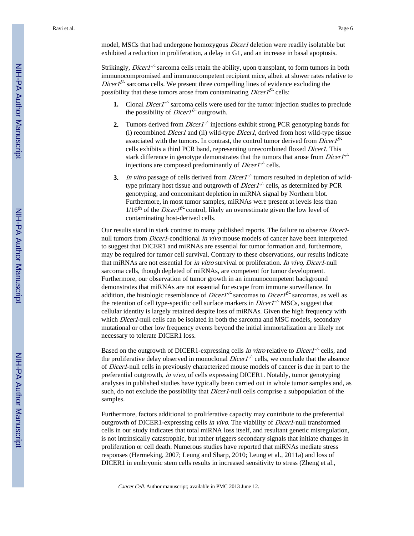model, MSCs that had undergone homozygous Dicer1 deletion were readily isolatable but exhibited a reduction in proliferation, a delay in G1, and an increase in basal apoptosis.

Strikingly, *Dicer1<sup>-/-</sup>* sarcoma cells retain the ability, upon transplant, to form tumors in both immunocompromised and immunocompetent recipient mice, albeit at slower rates relative to *Dicer*  $I^{f/-}$  sarcoma cells. We present three compelling lines of evidence excluding the possibility that these tumors arose from contaminating *Dicer1<sup>f/-</sup>* cells:

- **1.** Clonal *Dicer1<sup>-/-</sup>* sarcoma cells were used for the tumor injection studies to preclude the possibility of *Dicer1<sup>f/-</sup>* outgrowth.
- 2. Tumors derived from *Dicer1<sup>-/-</sup>* injections exhibit strong PCR genotyping bands for (i) recombined Dicer1 and (ii) wild-type Dicer1, derived from host wild-type tissue associated with the tumors. In contrast, the control tumor derived from  $Dicer1^{f/-}$ cells exhibits a third PCR band, representing unrecombined floxed Dicer1. This stark difference in genotype demonstrates that the tumors that arose from  $Dicer1^{-/2}$ injections are composed predominantly of  $Dicer1^{-/-}$  cells.
- **3.** In vitro passage of cells derived from Dicer1<sup>-/-</sup> tumors resulted in depletion of wildtype primary host tissue and outgrowth of *Dicer1<sup>-/-</sup>* cells, as determined by PCR genotyping, and concomitant depletion in miRNA signal by Northern blot. Furthermore, in most tumor samples, miRNAs were present at levels less than  $1/16$ <sup>th</sup> of the *Dicer1<sup>f/-</sup>* control, likely an overestimate given the low level of contaminating host-derived cells.

Our results stand in stark contrast to many published reports. The failure to observe Dicer1 null tumors from *Dicer1*-conditional in vivo mouse models of cancer have been interpreted to suggest that DICER1 and miRNAs are essential for tumor formation and, furthermore, may be required for tumor cell survival. Contrary to these observations, our results indicate that miRNAs are not essential for in vitro survival or proliferation. In vivo, Dicer1-null sarcoma cells, though depleted of miRNAs, are competent for tumor development. Furthermore, our observation of tumor growth in an immunocompetent background demonstrates that miRNAs are not essential for escape from immune surveillance. In addition, the histologic resemblance of *Dicer1<sup>-/-</sup>* sarcomas to *Dicer1<sup>f/-</sup>* sarcomas, as well as the retention of cell type-specific cell surface markers in *Dicer1<sup>-/-</sup>* MSCs, suggest that cellular identity is largely retained despite loss of miRNAs. Given the high frequency with which *Dicer1*-null cells can be isolated in both the sarcoma and MSC models, secondary mutational or other low frequency events beyond the initial immortalization are likely not necessary to tolerate DICER1 loss.

Based on the outgrowth of DICER1-expressing cells *in vitro* relative to *Dicer1<sup>-/-</sup>* cells, and the proliferative delay observed in monoclonal  $Dicer1^{-/-}$  cells, we conclude that the absence of Dicer1-null cells in previously characterized mouse models of cancer is due in part to the preferential outgrowth, in vivo, of cells expressing DICER1. Notably, tumor genotyping analyses in published studies have typically been carried out in whole tumor samples and, as such, do not exclude the possibility that *Dicer1*-null cells comprise a subpopulation of the samples.

Furthermore, factors additional to proliferative capacity may contribute to the preferential outgrowth of DICER1-expressing cells in vivo. The viability of Dicer1-null transformed cells in our study indicates that total miRNA loss itself, and resultant genetic misregulation, is not intrinsically catastrophic, but rather triggers secondary signals that initiate changes in proliferation or cell death. Numerous studies have reported that miRNAs mediate stress responses (Hermeking, 2007; Leung and Sharp, 2010; Leung et al., 2011a) and loss of DICER1 in embryonic stem cells results in increased sensitivity to stress (Zheng et al.,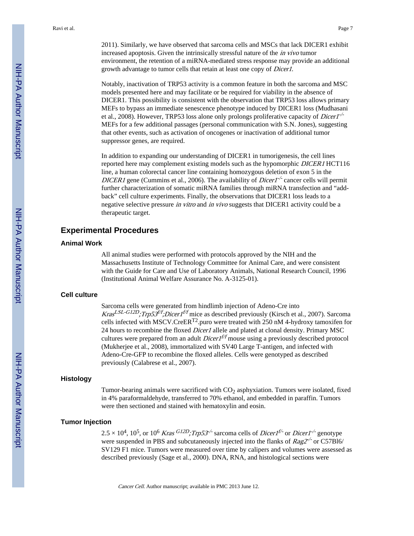2011). Similarly, we have observed that sarcoma cells and MSCs that lack DICER1 exhibit increased apoptosis. Given the intrinsically stressful nature of the in vivo tumor

environment, the retention of a miRNA-mediated stress response may provide an additional growth advantage to tumor cells that retain at least one copy of Dicer1.

Notably, inactivation of TRP53 activity is a common feature in both the sarcoma and MSC models presented here and may facilitate or be required for viability in the absence of DICER1. This possibility is consistent with the observation that TRP53 loss allows primary MEFs to bypass an immediate senescence phenotype induced by DICER1 loss (Mudhasani et al., 2008). However, TRP53 loss alone only prolongs proliferative capacity of *Dicer1<sup>-/-</sup>* MEFs for a few additional passages (personal communication with S.N. Jones), suggesting that other events, such as activation of oncogenes or inactivation of additional tumor suppressor genes, are required.

In addition to expanding our understanding of DICER1 in tumorigenesis, the cell lines reported here may complement existing models such as the hypomorphic DICER1 HCT116 line, a human colorectal cancer line containing homozygous deletion of exon 5 in the DICER1 gene (Cummins et al., 2006). The availability of *Dicer1<sup>-/-</sup>* cancer cells will permit further characterization of somatic miRNA families through miRNA transfection and "addback" cell culture experiments. Finally, the observations that DICER1 loss leads to a negative selective pressure *in vitro* and *in vivo* suggests that DICER1 activity could be a therapeutic target.

# **Experimental Procedures**

#### **Animal Work**

All animal studies were performed with protocols approved by the NIH and the Massachusetts Institute of Technology Committee for Animal Care, and were consistent with the Guide for Care and Use of Laboratory Animals, National Research Council, 1996 (Institutional Animal Welfare Assurance No. A-3125-01).

#### **Cell culture**

Sarcoma cells were generated from hindlimb injection of Adeno-Cre into Kras<sup>LSL-G12D</sup>;Trp53<sup>f/f</sup>;Dicer1<sup>f/f</sup> mice as described previously (Kirsch et al., 2007). Sarcoma cells infected with MSCV.CreERT2.puro were treated with 250 nM 4-hydroxy tamoxifen for 24 hours to recombine the floxed *Dicer1* allele and plated at clonal density. Primary MSC cultures were prepared from an adult  $Dicer1<sup>f/f</sup>$  mouse using a previously described protocol (Mukherjee et al., 2008), immortalized with SV40 Large T-antigen, and infected with Adeno-Cre-GFP to recombine the floxed alleles. Cells were genotyped as described previously (Calabrese et al., 2007).

# **Histology**

Tumor-bearing animals were sacrificed with  $CO<sub>2</sub>$  asphyxiation. Tumors were isolated, fixed in 4% paraformaldehyde, transferred to 70% ethanol, and embedded in paraffin. Tumors were then sectioned and stained with hematoxylin and eosin.

# **Tumor Injection**

 $2.5 \times 10^4$ ,  $10^5$ , or  $10^6$  Kras  $\frac{G12D}{Trp}$ 53<sup>-/-</sup> sarcoma cells of Dicer1<sup>f/-</sup> or Dicer1<sup>-/-</sup> genotype were suspended in PBS and subcutaneously injected into the flanks of  $Rag2^{-/-}$  or C57B16/ SV129 F1 mice. Tumors were measured over time by calipers and volumes were assessed as described previously (Sage et al., 2000). DNA, RNA, and histological sections were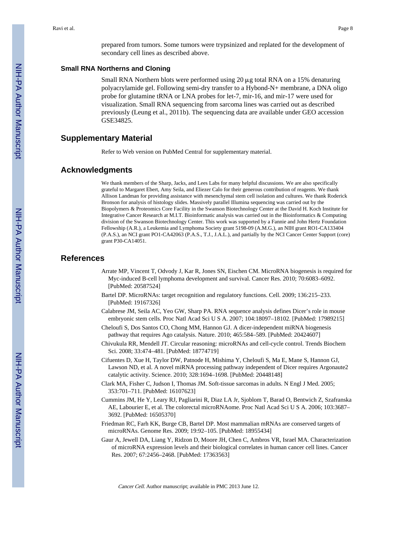prepared from tumors. Some tumors were trypsinized and replated for the development of secondary cell lines as described above.

# **Small RNA Northerns and Cloning**

Small RNA Northern blots were performed using  $20 \mu$ g total RNA on a 15% denaturing polyacrylamide gel. Following semi-dry transfer to a Hybond-N+ membrane, a DNA oligo probe for glutamine tRNA or LNA probes for let-7, mir-16, and mir-17 were used for visualization. Small RNA sequencing from sarcoma lines was carried out as described previously (Leung et al., 2011b). The sequencing data are available under GEO accession GSE34825.

# **Supplementary Material**

Refer to Web version on PubMed Central for supplementary material.

## **Acknowledgments**

We thank members of the Sharp, Jacks, and Lees Labs for many helpful discussions. We are also specifically grateful to Margaret Ebert, Amy Seila, and Eliezer Calo for their generous contribution of reagents. We thank Allison Landman for providing assistance with mesenchymal stem cell isolation and cultures. We thank Roderick Bronson for analysis of histology slides. Massively parallel Illumina sequencing was carried out by the Biopolymers & Proteomics Core Facility in the Swanson Biotechnology Center at the David H. Koch Institute for Integrative Cancer Research at M.I.T. Bioinformatic analysis was carried out in the Bioinformatics & Computing division of the Swanson Biotechnology Center. This work was supported by a Fannie and John Hertz Foundation Fellowship (A.R.), a Leukemia and Lymphoma Society grant 5198-09 (A.M.G.), an NIH grant RO1-CA133404 (P.A.S.), an NCI grant PO1-CA42063 (P.A.S., T.J., J.A.L.), and partially by the NCI Cancer Center Support (core) grant P30-CA14051.

# **References**

- Arrate MP, Vincent T, Odvody J, Kar R, Jones SN, Eischen CM. MicroRNA biogenesis is required for Myc-induced B-cell lymphoma development and survival. Cancer Res. 2010; 70:6083–6092. [PubMed: 20587524]
- Bartel DP. MicroRNAs: target recognition and regulatory functions. Cell. 2009; 136:215–233. [PubMed: 19167326]
- Calabrese JM, Seila AC, Yeo GW, Sharp PA. RNA sequence analysis defines Dicer's role in mouse embryonic stem cells. Proc Natl Acad Sci U S A. 2007; 104:18097–18102. [PubMed: 17989215]
- Cheloufi S, Dos Santos CO, Chong MM, Hannon GJ. A dicer-independent miRNA biogenesis pathway that requires Ago catalysis. Nature. 2010; 465:584–589. [PubMed: 20424607]
- Chivukula RR, Mendell JT. Circular reasoning: microRNAs and cell-cycle control. Trends Biochem Sci. 2008; 33:474–481. [PubMed: 18774719]
- Cifuentes D, Xue H, Taylor DW, Patnode H, Mishima Y, Cheloufi S, Ma E, Mane S, Hannon GJ, Lawson ND, et al. A novel miRNA processing pathway independent of Dicer requires Argonaute2 catalytic activity. Science. 2010; 328:1694–1698. [PubMed: 20448148]
- Clark MA, Fisher C, Judson I, Thomas JM. Soft-tissue sarcomas in adults. N Engl J Med. 2005; 353:701–711. [PubMed: 16107623]
- Cummins JM, He Y, Leary RJ, Pagliarini R, Diaz LA Jr, Sjoblom T, Barad O, Bentwich Z, Szafranska AE, Labourier E, et al. The colorectal microRNAome. Proc Natl Acad Sci U S A. 2006; 103:3687– 3692. [PubMed: 16505370]
- Friedman RC, Farh KK, Burge CB, Bartel DP. Most mammalian mRNAs are conserved targets of microRNAs. Genome Res. 2009; 19:92–105. [PubMed: 18955434]
- Gaur A, Jewell DA, Liang Y, Ridzon D, Moore JH, Chen C, Ambros VR, Israel MA. Characterization of microRNA expression levels and their biological correlates in human cancer cell lines. Cancer Res. 2007; 67:2456–2468. [PubMed: 17363563]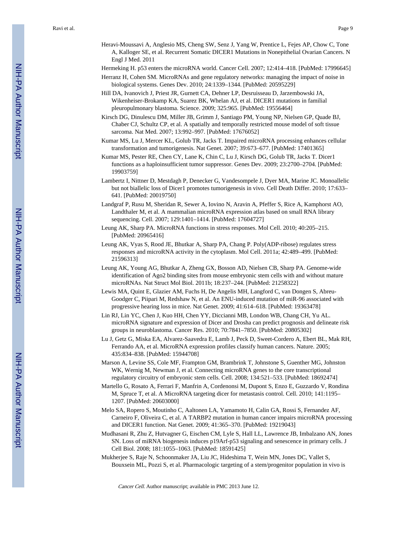Heravi-Moussavi A, Anglesio MS, Cheng SW, Senz J, Yang W, Prentice L, Fejes AP, Chow C, Tone A, Kalloger SE, et al. Recurrent Somatic DICER1 Mutations in Nonepithelial Ovarian Cancers. N Engl J Med. 2011

Hermeking H. p53 enters the microRNA world. Cancer Cell. 2007; 12:414–418. [PubMed: 17996645]

- Herranz H, Cohen SM. MicroRNAs and gene regulatory networks: managing the impact of noise in biological systems. Genes Dev. 2010; 24:1339–1344. [PubMed: 20595229]
- Hill DA, Ivanovich J, Priest JR, Gurnett CA, Dehner LP, Desruisseau D, Jarzembowski JA, Wikenheiser-Brokamp KA, Suarez BK, Whelan AJ, et al. DICER1 mutations in familial pleuropulmonary blastoma. Science. 2009; 325:965. [PubMed: 19556464]
- Kirsch DG, Dinulescu DM, Miller JB, Grimm J, Santiago PM, Young NP, Nielsen GP, Quade BJ, Chaber CJ, Schultz CP, et al. A spatially and temporally restricted mouse model of soft tissue sarcoma. Nat Med. 2007; 13:992–997. [PubMed: 17676052]
- Kumar MS, Lu J, Mercer KL, Golub TR, Jacks T. Impaired microRNA processing enhances cellular transformation and tumorigenesis. Nat Genet. 2007; 39:673–677. [PubMed: 17401365]
- Kumar MS, Pester RE, Chen CY, Lane K, Chin C, Lu J, Kirsch DG, Golub TR, Jacks T. Dicer1 functions as a haploinsufficient tumor suppressor. Genes Dev. 2009; 23:2700–2704. [PubMed: 19903759]
- Lambertz I, Nittner D, Mestdagh P, Denecker G, Vandesompele J, Dyer MA, Marine JC. Monoallelic but not biallelic loss of Dicer1 promotes tumorigenesis in vivo. Cell Death Differ. 2010; 17:633– 641. [PubMed: 20019750]
- Landgraf P, Rusu M, Sheridan R, Sewer A, Iovino N, Aravin A, Pfeffer S, Rice A, Kamphorst AO, Landthaler M, et al. A mammalian microRNA expression atlas based on small RNA library sequencing. Cell. 2007; 129:1401–1414. [PubMed: 17604727]
- Leung AK, Sharp PA. MicroRNA functions in stress responses. Mol Cell. 2010; 40:205–215. [PubMed: 20965416]
- Leung AK, Vyas S, Rood JE, Bhutkar A, Sharp PA, Chang P. Poly(ADP-ribose) regulates stress responses and microRNA activity in the cytoplasm. Mol Cell. 2011a; 42:489–499. [PubMed: 21596313]
- Leung AK, Young AG, Bhutkar A, Zheng GX, Bosson AD, Nielsen CB, Sharp PA. Genome-wide identification of Ago2 binding sites from mouse embryonic stem cells with and without mature microRNAs. Nat Struct Mol Biol. 2011b; 18:237–244. [PubMed: 21258322]
- Lewis MA, Quint E, Glazier AM, Fuchs H, De Angelis MH, Langford C, van Dongen S, Abreu-Goodger C, Piipari M, Redshaw N, et al. An ENU-induced mutation of miR-96 associated with progressive hearing loss in mice. Nat Genet. 2009; 41:614–618. [PubMed: 19363478]
- Lin RJ, Lin YC, Chen J, Kuo HH, Chen YY, Diccianni MB, London WB, Chang CH, Yu AL. microRNA signature and expression of Dicer and Drosha can predict prognosis and delineate risk groups in neuroblastoma. Cancer Res. 2010; 70:7841–7850. [PubMed: 20805302]
- Lu J, Getz G, Miska EA, Alvarez-Saavedra E, Lamb J, Peck D, Sweet-Cordero A, Ebert BL, Mak RH, Ferrando AA, et al. MicroRNA expression profiles classify human cancers. Nature. 2005; 435:834–838. [PubMed: 15944708]
- Marson A, Levine SS, Cole MF, Frampton GM, Brambrink T, Johnstone S, Guenther MG, Johnston WK, Wernig M, Newman J, et al. Connecting microRNA genes to the core transcriptional regulatory circuitry of embryonic stem cells. Cell. 2008; 134:521–533. [PubMed: 18692474]
- Martello G, Rosato A, Ferrari F, Manfrin A, Cordenonsi M, Dupont S, Enzo E, Guzzardo V, Rondina M, Spruce T, et al. A MicroRNA targeting dicer for metastasis control. Cell. 2010; 141:1195– 1207. [PubMed: 20603000]
- Melo SA, Ropero S, Moutinho C, Aaltonen LA, Yamamoto H, Calin GA, Rossi S, Fernandez AF, Carneiro F, Oliveira C, et al. A TARBP2 mutation in human cancer impairs microRNA processing and DICER1 function. Nat Genet. 2009; 41:365–370. [PubMed: 19219043]
- Mudhasani R, Zhu Z, Hutvagner G, Eischen CM, Lyle S, Hall LL, Lawrence JB, Imbalzano AN, Jones SN. Loss of miRNA biogenesis induces p19Arf-p53 signaling and senescence in primary cells. J Cell Biol. 2008; 181:1055–1063. [PubMed: 18591425]
- Mukherjee S, Raje N, Schoonmaker JA, Liu JC, Hideshima T, Wein MN, Jones DC, Vallet S, Bouxsein ML, Pozzi S, et al. Pharmacologic targeting of a stem/progenitor population in vivo is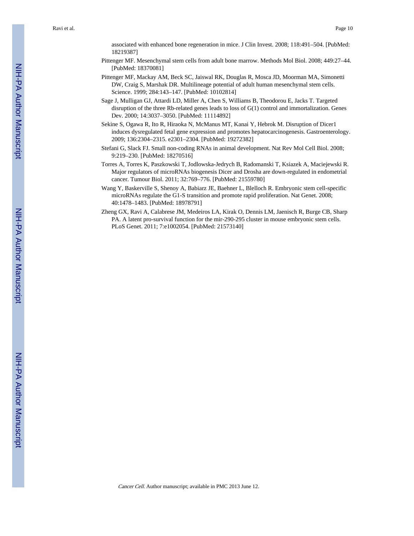associated with enhanced bone regeneration in mice. J Clin Invest. 2008; 118:491–504. [PubMed: 18219387]

- Pittenger MF. Mesenchymal stem cells from adult bone marrow. Methods Mol Biol. 2008; 449:27–44. [PubMed: 18370081]
- Pittenger MF, Mackay AM, Beck SC, Jaiswal RK, Douglas R, Mosca JD, Moorman MA, Simonetti DW, Craig S, Marshak DR. Multilineage potential of adult human mesenchymal stem cells. Science. 1999; 284:143–147. [PubMed: 10102814]
- Sage J, Mulligan GJ, Attardi LD, Miller A, Chen S, Williams B, Theodorou E, Jacks T. Targeted disruption of the three Rb-related genes leads to loss of G(1) control and immortalization. Genes Dev. 2000; 14:3037–3050. [PubMed: 11114892]
- Sekine S, Ogawa R, Ito R, Hiraoka N, McManus MT, Kanai Y, Hebrok M. Disruption of Dicer1 induces dysregulated fetal gene expression and promotes hepatocarcinogenesis. Gastroenterology. 2009; 136:2304–2315. e2301–2304. [PubMed: 19272382]
- Stefani G, Slack FJ. Small non-coding RNAs in animal development. Nat Rev Mol Cell Biol. 2008; 9:219–230. [PubMed: 18270516]
- Torres A, Torres K, Paszkowski T, Jodlowska-Jedrych B, Radomanski T, Ksiazek A, Maciejewski R. Major regulators of microRNAs biogenesis Dicer and Drosha are down-regulated in endometrial cancer. Tumour Biol. 2011; 32:769–776. [PubMed: 21559780]
- Wang Y, Baskerville S, Shenoy A, Babiarz JE, Baehner L, Blelloch R. Embryonic stem cell-specific microRNAs regulate the G1-S transition and promote rapid proliferation. Nat Genet. 2008; 40:1478–1483. [PubMed: 18978791]
- Zheng GX, Ravi A, Calabrese JM, Medeiros LA, Kirak O, Dennis LM, Jaenisch R, Burge CB, Sharp PA. A latent pro-survival function for the mir-290-295 cluster in mouse embryonic stem cells. PLoS Genet. 2011; 7:e1002054. [PubMed: 21573140]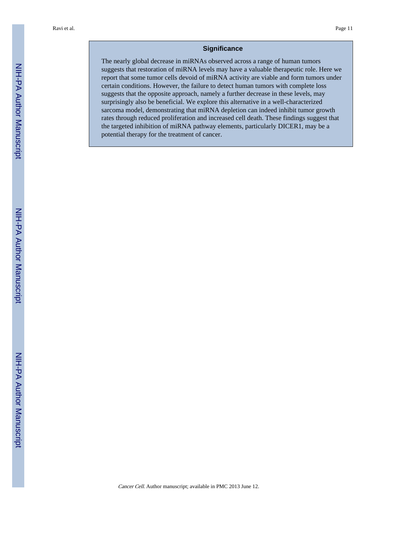# **Significance**

The nearly global decrease in miRNAs observed across a range of human tumors suggests that restoration of miRNA levels may have a valuable therapeutic role. Here we report that some tumor cells devoid of miRNA activity are viable and form tumors under certain conditions. However, the failure to detect human tumors with complete loss suggests that the opposite approach, namely a further decrease in these levels, may surprisingly also be beneficial. We explore this alternative in a well-characterized sarcoma model, demonstrating that miRNA depletion can indeed inhibit tumor growth rates through reduced proliferation and increased cell death. These findings suggest that the targeted inhibition of miRNA pathway elements, particularly DICER1, may be a potential therapy for the treatment of cancer.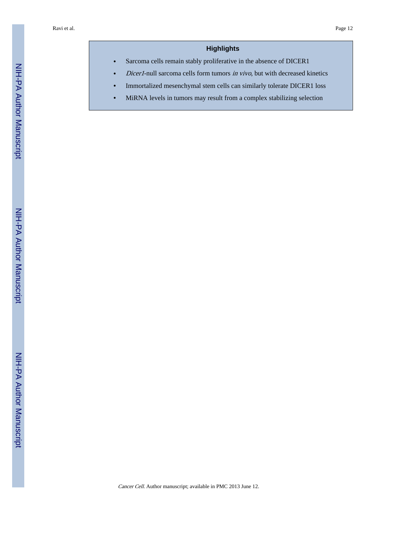# **Highlights**

- **•** Sarcoma cells remain stably proliferative in the absence of DICER1
- **•** Dicer1-null sarcoma cells form tumors in vivo, but with decreased kinetics
- **•** Immortalized mesenchymal stem cells can similarly tolerate DICER1 loss
- **•** MiRNA levels in tumors may result from a complex stabilizing selection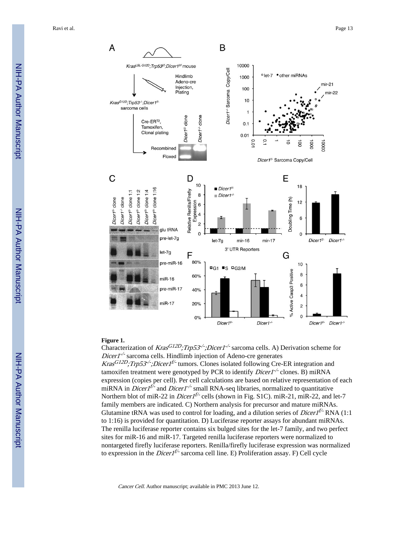NIH-PA Author Manuscript NIH-PA Author Manuscript



#### **Figure 1.**

Characterization of  $Kras^{G12D}$ ; Trp53<sup>-/-</sup>; Dicer1<sup>-/-</sup> sarcoma cells. A) Derivation scheme for  $Dicer1<sup>-/-</sup>$  sarcoma cells. Hindlimb injection of Adeno-cre generates Kras<sup>G12D</sup>;Trp53<sup>-/-</sup>;Dicer1<sup>f/-</sup> tumors. Clones isolated following Cre-ER integration and tamoxifen treatment were genotyped by PCR to identify  $Direct$  clones. B) miRNA expression (copies per cell). Per cell calculations are based on relative representation of each miRNA in *Dicer1<sup>f/-</sup>* and *Dicer1<sup>-/-</sup>* small RNA-seq libraries, normalized to quantitative Northern blot of miR-22 in *Dicer1<sup>f/-</sup>* cells (shown in Fig. S1C). miR-21, miR-22, and let-7 family members are indicated. C) Northern analysis for precursor and mature miRNAs. Glutamine tRNA was used to control for loading, and a dilution series of *Dicer1<sup>f/-</sup>* RNA (1:1) to 1:16) is provided for quantitation. D) Luciferase reporter assays for abundant miRNAs. The renilla luciferase reporter contains six bulged sites for the let-7 family, and two perfect sites for miR-16 and miR-17. Targeted renilla luciferase reporters were normalized to nontargeted firefly luciferase reporters. Renilla/firefly luciferase expression was normalized to expression in the *Dicer1<sup>f/-</sup>* sarcoma cell line. E) Proliferation assay. F) Cell cycle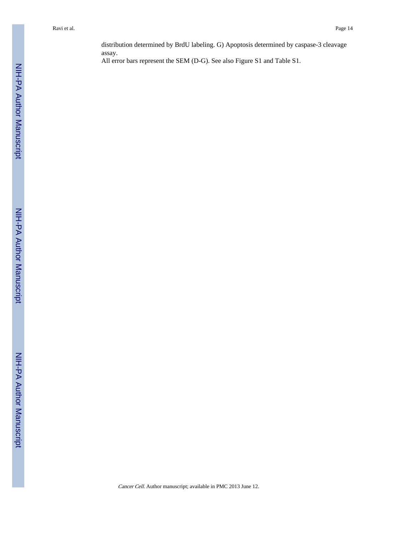distribution determined by BrdU labeling. G) Apoptosis determined by caspase-3 cleavage assay.

All error bars represent the SEM (D-G). See also Figure S1 and Table S1.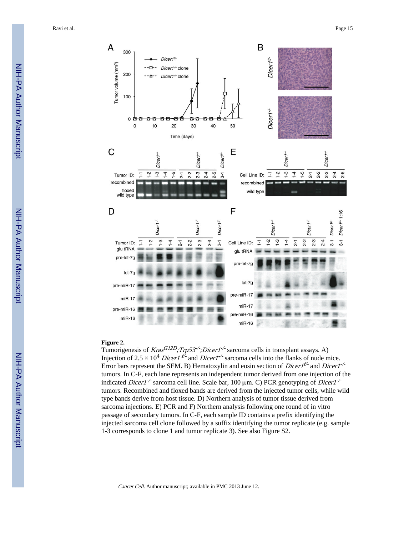

#### **Figure 2.**

Tumorigenesis of  $Kras^{GL2D}$ ; Trp53<sup>-/-</sup>; Dicer1<sup>-/-</sup> sarcoma cells in transplant assays. A) Injection of 2.5  $\times$  10<sup>4</sup> Dicer1<sup> $t\bar{t}$ </sup> and Dicer1<sup>-/-</sup> sarcoma cells into the flanks of nude mice. Error bars represent the SEM. B) Hematoxylin and eosin section of *Dicer*  $1^{f/-}$  and *Dicer*  $1^{-/-}$ tumors. In C-F, each lane represents an independent tumor derived from one injection of the indicated *Dicer1<sup>-/-</sup>* sarcoma cell line. Scale bar, 100  $\mu$ m. C) PCR genotyping of *Dicer1<sup>-/-</sup>* tumors. Recombined and floxed bands are derived from the injected tumor cells, while wild type bands derive from host tissue. D) Northern analysis of tumor tissue derived from sarcoma injections. E) PCR and F) Northern analysis following one round of in vitro passage of secondary tumors. In C-F, each sample ID contains a prefix identifying the injected sarcoma cell clone followed by a suffix identifying the tumor replicate (e.g. sample 1-3 corresponds to clone 1 and tumor replicate 3). See also Figure S2.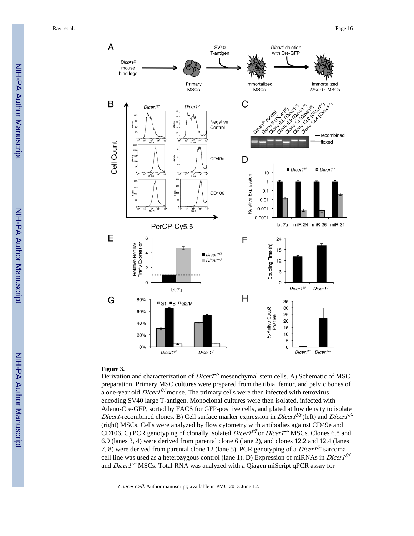

#### **Figure 3.**

Derivation and characterization of *Dicer1<sup>-/-</sup>* mesenchymal stem cells. A) Schematic of MSC preparation. Primary MSC cultures were prepared from the tibia, femur, and pelvic bones of a one-year old *Dicer*  $I<sup>f/f</sup>$  mouse. The primary cells were then infected with retrovirus encoding SV40 large T-antigen. Monoclonal cultures were then isolated, infected with Adeno-Cre-GFP, sorted by FACS for GFP-positive cells, and plated at low density to isolate *Dicer1*-recombined clones. B) Cell surface marker expression in *Dicer1<sup>f/f</sup>* (left) and *Dicer1<sup>-/-</sup>* (right) MSCs. Cells were analyzed by flow cytometry with antibodies against CD49e and CD106. C) PCR genotyping of clonally isolated *Dicer1<sup>t/f</sup>* or *Dicer1<sup>-/-</sup>* MSCs. Clones 6.8 and 6.9 (lanes 3, 4) were derived from parental clone 6 (lane 2), and clones 12.2 and 12.4 (lanes 7, 8) were derived from parental clone 12 (lane 5). PCR genotyping of a *Dicer1<sup>f/-</sup>* sarcoma cell line was used as a heterozygous control (lane 1). D) Expression of miRNAs in *Dicer1<sup>f/f</sup>* and  $Dicer1<sup>-/-</sup> MSCs$ . Total RNA was analyzed with a Qiagen miScript qPCR assay for